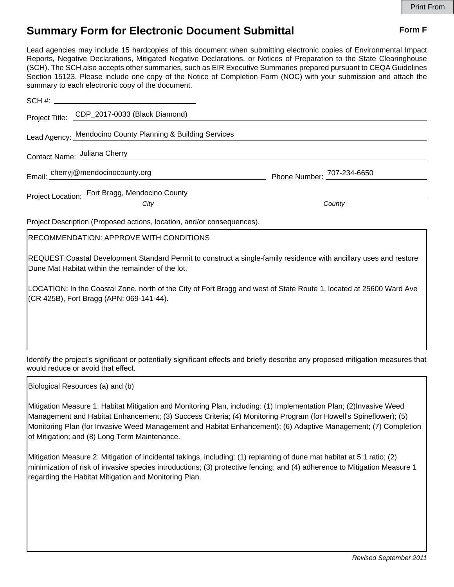## **Summary Form for Electronic Document Submittal Form F Form F**

Lead agencies may include 15 hardcopies of this document when submitting electronic copies of Environmental Impact Reports, Negative Declarations, Mitigated Negative Declarations, or Notices of Preparation to the State Clearinghouse (SCH). The SCH also accepts other summaries, such as EIR Executive Summaries prepared pursuant to CEQA Guidelines Section 15123. Please include one copy of the Notice of Completion Form (NOC) with your submission and attach the summary to each electronic copy of the document.

| Project Title: CDP_2017-0033 (Black Diamond)                                                                                                                            |        |
|-------------------------------------------------------------------------------------------------------------------------------------------------------------------------|--------|
| Lead Agency: Mendocino County Planning & Building Services                                                                                                              |        |
| Contact Name: Juliana Cherry                                                                                                                                            |        |
| Email: cherryj@mendocinocounty.org Phone Number: 707-234-6650                                                                                                           |        |
| Project Location: Fort Bragg, Mendocino County                                                                                                                          |        |
| City                                                                                                                                                                    | County |
| Project Description (Proposed actions, location, and/or consequences).                                                                                                  |        |
| <b>RECOMMENDATION: APPROVE WITH CONDITIONS</b>                                                                                                                          |        |
| REQUEST:Coastal Development Standard Permit to construct a single-family residence with ancillary uses and restore<br>Dune Mat Habitat within the remainder of the lot. |        |
| LOCATION: In the Coastal Zone, north of the City of Fort Bragg and west of State Route 1, located at 25600 Ward Ave<br>(CR 425B), Fort Bragg (APN: 069-141-44).         |        |

Identify the project's significant or potentially significant effects and briefly describe any proposed mitigation measures that would reduce or avoid that effect.

Biological Resources (a) and (b)

Mitigation Measure 1: Habitat Mitigation and Monitoring Plan, including: (1) Implementation Plan; (2)Invasive Weed Management and Habitat Enhancement; (3) Success Criteria; (4) Monitoring Program (for Howell's Spineflower); (5) Monitoring Plan (for Invasive Weed Management and Habitat Enhancement); (6) Adaptive Management; (7) Completion of Mitigation; and (8) Long Term Maintenance.

Mitigation Measure 2: Mitigation of incidental takings, including: (1) replanting of dune mat habitat at 5:1 ratio; (2) minimization of risk of invasive species introductions; (3) protective fencing; and (4) adherence to Mitigation Measure 1 regarding the Habitat Mitigation and Monitoring Plan.